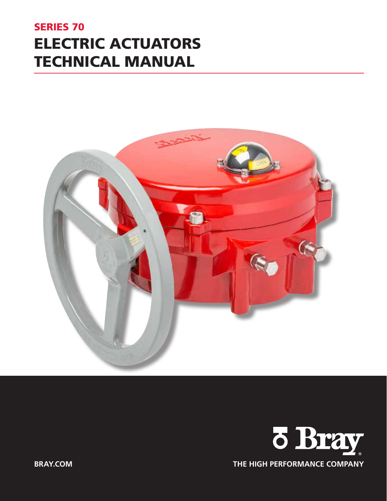# SERIES 70 ELECTRIC ACTUATORS TECHNICAL MANUAL



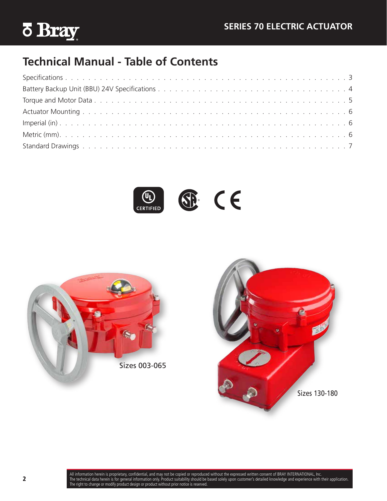

# **Technical Manual - Table of Contents**

 $\circledast$  CE  $\underbrace{\mathbb{Q}_{\mathsf{L}}}$  certified



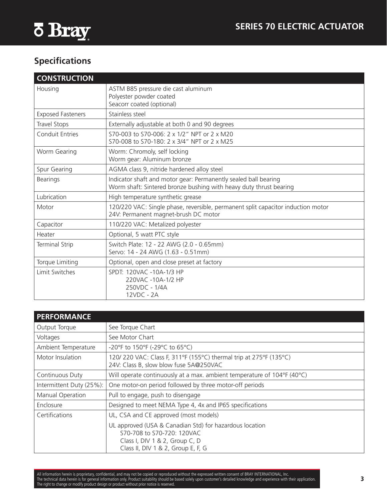<span id="page-2-0"></span>

# **Specifications**

| <b>CONSTRUCTION</b>      |                                                                                                                                       |
|--------------------------|---------------------------------------------------------------------------------------------------------------------------------------|
| Housing                  | ASTM B85 pressure die cast aluminum<br>Polyester powder coated<br>Seacorr coated (optional)                                           |
| <b>Exposed Fasteners</b> | Stainless steel                                                                                                                       |
| Travel Stops             | Externally adjustable at both 0 and 90 degrees                                                                                        |
| <b>Conduit Entries</b>   | S70-003 to S70-006: 2 x 1/2" NPT or 2 x M20<br>S70-008 to S70-180: 2 x 3/4" NPT or 2 x M25                                            |
| Worm Gearing             | Worm: Chromoly, self locking<br>Worm gear: Aluminum bronze                                                                            |
| Spur Gearing             | AGMA class 9, nitride hardened alloy steel                                                                                            |
| <b>Bearings</b>          | Indicator shaft and motor gear: Permanently sealed ball bearing<br>Worm shaft: Sintered bronze bushing with heavy duty thrust bearing |
| Lubrication              | High temperature synthetic grease                                                                                                     |
| Motor                    | 120/220 VAC: Single phase, reversible, permanent split capacitor induction motor<br>24V: Permanent magnet-brush DC motor              |
| Capacitor                | 110/220 VAC: Metalized polyester                                                                                                      |
| Heater                   | Optional, 5 watt PTC style                                                                                                            |
| <b>Terminal Strip</b>    | Switch Plate: 12 - 22 AWG (2.0 - 0.65mm)<br>Servo: 14 - 24 AWG (1.63 - 0.51mm)                                                        |
| Torque Limiting          | Optional, open and close preset at factory                                                                                            |
| Limit Switches           | SPDT: 120VAC -10A-1/3 HP<br>220VAC -10A-1/2 HP<br>250VDC - 1/4A<br>12VDC - 2A                                                         |

| <b>PERFORMANCE</b>       |                                                                                                                                                               |
|--------------------------|---------------------------------------------------------------------------------------------------------------------------------------------------------------|
| Output Torque            | See Torque Chart                                                                                                                                              |
| Voltages                 | See Motor Chart                                                                                                                                               |
| Ambient Temperature      | -20°F to 150°F (-29°C to 65°C)                                                                                                                                |
| Motor Insulation         | 120/220 VAC: Class F, 311°F (155°C) thermal trip at 275°F (135°C)<br>24V: Class B, slow blow fuse 5A@250VAC                                                   |
| Continuous Duty          | Will operate continuously at a max. ambient temperature of 104°F (40°C)                                                                                       |
| Intermittent Duty (25%): | One motor-on period followed by three motor-off periods                                                                                                       |
| Manual Operation         | Pull to engage, push to disengage                                                                                                                             |
| Enclosure                | Designed to meet NEMA Type 4, 4x and IP65 specifications                                                                                                      |
| Certifications           | UL, CSA and CE approved (most models)                                                                                                                         |
|                          | UL approved (USA & Canadian Std) for hazardous location<br>S70-708 to S70-720: 120VAC<br>Class I, DIV 1 & 2, Group C, D<br>Class II, DIV 1 & 2, Group E, F, G |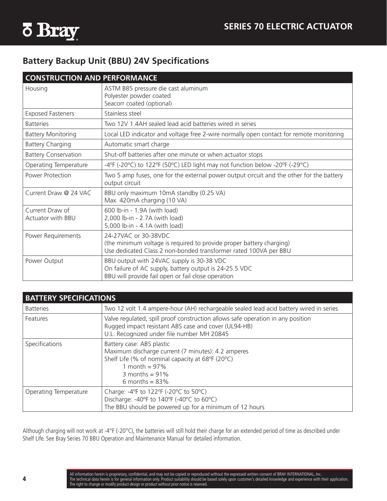<span id="page-3-0"></span>

### **Battery Backup Unit (BBU) 24V Specifications**

| <b>CONSTRUCTION AND PERFORMANCE</b>  |                                                                                                                                                                  |
|--------------------------------------|------------------------------------------------------------------------------------------------------------------------------------------------------------------|
| Housing                              | ASTM B85 pressure die cast aluminum<br>Polyester powder coated<br>Seacorr coated (optional)                                                                      |
| <b>Exposed Fasteners</b>             | Stainless steel                                                                                                                                                  |
| <b>Batteries</b>                     | Two 12V 1.4AH sealed lead acid batteries wired in series                                                                                                         |
| <b>Battery Monitoring</b>            | Local LED indicator and voltage free 2-wire normally open contact for remote monitoring                                                                          |
| <b>Battery Charging</b>              | Automatic smart charge                                                                                                                                           |
| <b>Battery Conservation</b>          | Shut-off batteries after one minute or when actuator stops                                                                                                       |
| Operating Temperature                | -4°F (-20°C) to 122°F (50°C) LED light may not function below -20°F (-29°C)                                                                                      |
| Power Protection                     | Two 5 amp fuses, one for the external power output circuit and the other for the battery<br>output circuit                                                       |
| Current Draw @ 24 VAC                | BBU only maximum 10mA standby (0.25 VA)<br>Max. 420mA charging (10 VA)                                                                                           |
| Current Draw of<br>Actuator with BBU | 600 lb-in - 1.9A (with load)<br>2,000 lb-in - 2.7A (with load)<br>5,000 lb-in - 4.1A (with load)                                                                 |
| Power Requirements                   | 24-27VAC or 30-38VDC<br>(the minimum voltage is required to provide proper battery charging)<br>Use dedicated Class 2 non-bonded transformer rated 100VA per BBU |
| Power Output                         | BBU output with 24VAC supply is 30-38 VDC<br>On failure of AC supply, battery output is 24-25.5 VDC<br>BBU will provide fail open or fail close operation        |

| <b>BATTERY SPECIFICATIONS</b> |                                                                                                                                                                                                   |
|-------------------------------|---------------------------------------------------------------------------------------------------------------------------------------------------------------------------------------------------|
| <b>Batteries</b>              | Two 12 volt 1.4 ampere-hour (AH) rechargeable sealed lead acid battery wired in series                                                                                                            |
| Features                      | Valve regulated, spill proof construction allows safe operation in any position<br>Rugged impact resistant ABS case and cover (UL94-HB)<br>U.L. Recognized under file number MH 20845             |
| Specifications                | Battery case: ABS plastic<br>Maximum discharge current (7 minutes): 4.2 amperes<br>Shelf Life (% of nominal capacity at 68°F (20°C)<br>1 month = $97\%$<br>3 months = $91\%$<br>6 months = $83\%$ |
| Operating Temperature         | Charge: -4°F to 122°F (-20°C to 50°C)<br>Discharge: -40°F to 140°F (-40°C to 60°C)<br>The BBU should be powered up for a minimum of 12 hours                                                      |

Although charging will not work at -4°F (-20°C), the batteries will still hold their charge for an extended period of time as described under Shelf Life. See Bray Series 70 BBU Operation and Maintenance Manual for detailed information.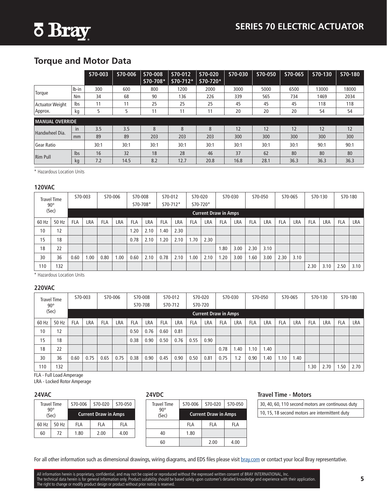<span id="page-4-0"></span>

### **Torque and Motor Data**

|                        |           | S70-003 | S70-006 | S70-008<br>S70-708* | S70-012<br>S70-712* | S70-020<br>S70-720* | S70-030 | S70-050 | S70-065 | S70-130 | S70-180 |
|------------------------|-----------|---------|---------|---------------------|---------------------|---------------------|---------|---------|---------|---------|---------|
|                        | $Ib-in$   | 300     | 600     | 800                 | 1200                | 2000                | 3000    | 5000    | 6500    | 13000   | 18000   |
| Torque                 | <b>Nm</b> | 34      | 68      | 90                  | 136                 | 226                 | 339     | 565     | 734     | 1469    | 2034    |
| <b>Actuator Weight</b> | lbs       | 11      | 11      | 25                  | 25                  | 25                  | 45      | 45      | 45      | 118     | 118     |
| Approx.                | kg        | 5       |         | 11                  | 11                  | 11                  | 20      | 20      | 20      | 54      | 54      |
| <b>MANUAL OVERRIDE</b> |           |         |         |                     |                     |                     |         |         |         |         |         |
| Handwheel Dia.         | in        | 3.5     | 3.5     | 8                   | 8                   | 8                   | 12      | 12      | 12      | 12      | 12      |
|                        | mm        | 89      | 89      | 203                 | 203                 | 203                 | 300     | 300     | 300     | 300     | 300     |
| <b>Gear Ratio</b>      |           | 30:1    | 30:1    | 30:1                | 30:1                | 30:1                | 30:1    | 30:1    | 30:1    | 90:1    | 90:1    |
| <b>Rim Pull</b>        | lbs       | 16      | 32      | 18                  | 28                  | 46                  | 37      | 62      | 80      | 80      | 80      |
|                        | kg        | 7.2     | 14.5    | 8.2                 | 12.7                | 20.8                | 16.8    | 28.1    | 36.3    | 36.3    | 36.3    |

\* Hazardous Location Units

#### **120VAC**

|       | <b>Travel Time</b><br>$90^{\circ}$ | S70-003<br>S70-006 |      |            |     | S70-012<br>S70-008<br>S70-708*<br>S70-712* |            | S70-020<br>S70-720* |      | S70-030    |                             | S70-050    |      | S70-065    |      | S70-130    |      | S70-180    |      |            |            |
|-------|------------------------------------|--------------------|------|------------|-----|--------------------------------------------|------------|---------------------|------|------------|-----------------------------|------------|------|------------|------|------------|------|------------|------|------------|------------|
|       | (Sec)                              |                    |      |            |     |                                            |            |                     |      |            | <b>Current Draw in Amps</b> |            |      |            |      |            |      |            |      |            |            |
| 60 Hz | 50 Hz                              | <b>FLA</b>         | LRA  | <b>FLA</b> | LRA | <b>FLA</b>                                 | <b>LRA</b> | <b>FLA</b>          | LRA  | <b>FLA</b> | LRA                         | <b>FLA</b> | LRA  | <b>FLA</b> | LRA  | <b>FLA</b> | LRA  | <b>FLA</b> | LRA  | <b>FLA</b> | <b>LRA</b> |
| 10    | 12                                 |                    |      |            |     | .20                                        | 2.10       | 1.40                | 2.30 |            |                             |            |      |            |      |            |      |            |      |            |            |
| 15    | 18                                 |                    |      |            |     | 0.78                                       | 2.10       | .20                 | 2.10 | 1.70       | 2.30                        |            |      |            |      |            |      |            |      |            |            |
| 18    | 22                                 |                    |      |            |     |                                            |            |                     |      |            |                             | 1.80       | 3.00 | 2.30       | 3.10 |            |      |            |      |            |            |
| 30    | 36                                 | 0.60               | 0.00 | 0.80       | .00 | 0.60                                       | 2.10       | 0.78                | 2.10 | .00        | 2.10                        | 1.20       | 3.00 | .60        | 3.00 | 2.30       | 3.10 |            |      |            |            |
| 110   | 132                                |                    |      |            |     |                                            |            |                     |      |            |                             |            |      |            |      |            |      | 2.30       | 3.10 | 2.50       | 3.10       |

\* Hazardous Location Units

#### **220VAC**

|       | <b>Travel Time</b><br>$90^{\circ}$ | S70-003<br>S70-006 |            |            | S70-008<br>S70-012<br>S70-708<br>S70-712 |            |      | S70-020<br>S70-720 | S70-030 |            | S70-050 |                             | S70-065 |            | S70-130 |            | S70-180 |            |      |            |            |
|-------|------------------------------------|--------------------|------------|------------|------------------------------------------|------------|------|--------------------|---------|------------|---------|-----------------------------|---------|------------|---------|------------|---------|------------|------|------------|------------|
|       | (Sec)                              |                    |            |            |                                          |            |      |                    |         |            |         | <b>Current Draw in Amps</b> |         |            |         |            |         |            |      |            |            |
| 60 Hz | 50 Hz                              | <b>FLA</b>         | <b>LRA</b> | <b>FLA</b> | LRA                                      | <b>FLA</b> | LRA  | <b>FLA</b>         | LRA     | <b>FLA</b> | LRA     | <b>FLA</b>                  | LRA     | <b>FLA</b> | LRA     | <b>FLA</b> | LRA     | <b>FLA</b> | LRA  | <b>FLA</b> | <b>LRA</b> |
| 10    | 12                                 |                    |            |            |                                          | 0.50       | 0.76 | 0.60               | 0.81    |            |         |                             |         |            |         |            |         |            |      |            |            |
| 15    | 18                                 |                    |            |            |                                          | 0.38       | 0.90 | 0.50               | 0.76    | 0.55       | 0.90    |                             |         |            |         |            |         |            |      |            |            |
| 18    | 22                                 |                    |            |            |                                          |            |      |                    |         |            |         | 0.78                        | .40     | 1.10       | 1.40    |            |         |            |      |            |            |
| 30    | 36                                 | 0.60               | 0.75       | 0.65       | 0.75                                     | 0.38       | 0.90 | 0.45               | 0.90    | 0.50       | 0.81    | 0.75                        | 1.2     | 0.90       | 1.40    | 1.10       | 1.40    |            |      |            |            |
| 110   | 132                                |                    |            |            |                                          |            |      |                    |         |            |         |                             |         |            |         |            |         | .30        | 2.70 | .50        | 2.70       |

FLA - Full Load Amperage

LRA - Locked Rotor Amperage

#### **24VAC**

|       | <b>Travel Time</b>    | S70-006 | S70-020                     | S70-050 |
|-------|-----------------------|---------|-----------------------------|---------|
|       | $90^{\circ}$<br>(Sec) |         | <b>Current Draw in Amps</b> |         |
| 60 Hz | 50 Hz                 | FI A    | FLA                         | FI A    |
| 60    | 72                    | 1.80    | 2.00                        | 4.00    |

#### **24VDC**

| <b>Travel Time</b>    | S70-006 | S70-020                     | S70-050 |  |  |  |  |
|-----------------------|---------|-----------------------------|---------|--|--|--|--|
| $90^{\circ}$<br>(Sec) |         | <b>Current Draw in Amps</b> |         |  |  |  |  |
|                       | FLA     | FLA                         | FLA     |  |  |  |  |
| 40                    | 1.80    |                             |         |  |  |  |  |
| 60                    |         | 2.00                        | 4.00    |  |  |  |  |

#### **Travel Time - Motors**

- 30, 40, 60, 110 second motors are continuous duty
- 10, 15, 18 second motors are intermittent duty

For all other information such as dimensional drawings, wiring diagrams, and EDS files please visit [bray.com](http://www.bray.com) or contact your local Bray representative.

All information herein is proprietary, confidential, and may not be copied or reproduced without the expressed written consent of BRAY INTERNATIONAL, Inc. The technical data herein is for general information only. Product suitability should be based solely upon customer's detailed knowledge and experience with their application. The right to change or modify product design or product without prior notice is reserved.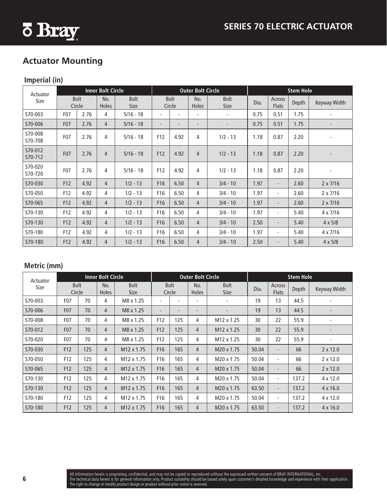<span id="page-5-0"></span>

### **Actuator Mounting**

### **Imperial (in)**

| Actuator           |                  |                       | <b>Inner Bolt Circle</b> |                     |                          |                          | <b>Outer Bolt Circle</b> |                          | <b>Stem Hole</b> |                          |       |                 |  |  |
|--------------------|------------------|-----------------------|--------------------------|---------------------|--------------------------|--------------------------|--------------------------|--------------------------|------------------|--------------------------|-------|-----------------|--|--|
| Size               |                  | <b>Bolt</b><br>Circle | No.<br><b>Holes</b>      | Bolt<br><b>Size</b> |                          | <b>Bolt</b><br>Circle    | No.<br><b>Holes</b>      | Bolt<br><b>Size</b>      | Dia.             | Across<br><b>Flats</b>   | Depth | Keyway Width    |  |  |
| S70-003            | F <sub>0</sub> 7 | 2.76                  | 4                        | $5/16 - 18$         |                          |                          |                          | $\overline{\phantom{a}}$ | 0.75             | 0.51                     | 1.75  |                 |  |  |
| S70-006            | F <sub>0</sub> 7 | 2.76                  | $\overline{4}$           | $5/16 - 18$         | $\overline{\phantom{a}}$ | $\overline{\phantom{a}}$ | $\overline{\phantom{a}}$ | $\overline{\phantom{a}}$ | 0.75             | 0.51                     | 1.75  |                 |  |  |
| S70-008<br>S70-708 | F <sub>0</sub> 7 | 2.76                  | 4                        | $5/16 - 18$         | F12                      | 4.92                     | 4                        | $1/2 - 13$               | 1.18             | 0.87                     | 2.20  |                 |  |  |
| S70-012<br>S70-712 | F <sub>0</sub> 7 | 2.76                  | $\overline{4}$           | $5/16 - 18$         | F12                      | 4.92                     | $\overline{4}$           | $1/2 - 13$               | 1.18             | 0.87                     | 2.20  |                 |  |  |
| S70-020<br>S70-720 | F07              | 2.76                  | 4                        | $5/16 - 18$         | F12                      | 4.92                     | 4                        | $1/2 - 13$               | 1.18             | 0.87                     | 2.20  |                 |  |  |
| S70-030            | F12              | 4.92                  | $\overline{4}$           | $1/2 - 13$          | F16                      | 6.50                     | $\overline{4}$           | $3/4 - 10$               | 1.97             | $\overline{\phantom{a}}$ | 2.60  | $2 \times 7/16$ |  |  |
| S70-050            | F12              | 4.92                  | 4                        | $1/2 - 13$          | F16                      | 6.50                     | 4                        | $3/4 - 10$               | 1.97             | $\blacksquare$           | 2.60  | $2 \times 7/16$ |  |  |
| S70-065            | F12              | 4.92                  | $\overline{4}$           | $1/2 - 13$          | F <sub>16</sub>          | 6.50                     | $\overline{4}$           | $3/4 - 10$               | 1.97             | $\overline{\phantom{a}}$ | 2.60  | $2 \times 7/16$ |  |  |
| S70-130            | F12              | 4.92                  | 4                        | $1/2 - 13$          | F16                      | 6.50                     | 4                        | $3/4 - 10$               | 1.97             | $\overline{\phantom{a}}$ | 5.40  | $4 \times 7/16$ |  |  |
| S70-130            | F12              | 4.92                  | $\overline{4}$           | $1/2 - 13$          | F <sub>16</sub>          | 6.50                     | $\overline{4}$           | $3/4 - 10$               | 2.50             | $\overline{\phantom{a}}$ | 5.40  | $4 \times 5/8$  |  |  |
| S70-180            | F12              | 4.92                  | 4                        | $1/2 - 13$          | F16                      | 6.50                     | 4                        | $3/4 - 10$               | 1.97             | $\overline{\phantom{a}}$ | 5.40  | $4 \times 7/16$ |  |  |
| S70-180            | F12              | 4.92                  | $\overline{4}$           | $1/2 - 13$          | F16                      | 6.50                     | $\overline{4}$           | $3/4 - 10$               | 2.50             | $\overline{\phantom{a}}$ | 5.40  | $4 \times 5/8$  |  |  |

### **Metric (mm)**

| Actuator |                       |     | <b>Inner Bolt Circle</b> |                        |                          |                          | <b>Outer Bolt Circle</b> |                          | <b>Stem Hole</b> |                          |       |                 |  |  |
|----------|-----------------------|-----|--------------------------|------------------------|--------------------------|--------------------------|--------------------------|--------------------------|------------------|--------------------------|-------|-----------------|--|--|
| Size     | <b>Bolt</b><br>Circle |     | No.<br><b>Holes</b>      | <b>Bolt</b><br>Size    |                          | <b>Bolt</b><br>Circle    | No.<br>Holes             | Bolt<br><b>Size</b>      | Dia.             | Across<br><b>Flats</b>   | Depth | Keyway Width    |  |  |
| S70-003  | F <sub>0</sub> 7      | 70  | 4                        | M8 x 1.25              | $\overline{\phantom{a}}$ |                          |                          | $\overline{\phantom{a}}$ | 19               | 13                       | 44.5  |                 |  |  |
| S70-006  | F07                   | 70  | 4                        | M8 x 1.25              | $\overline{\phantom{a}}$ | $\overline{\phantom{a}}$ | $\overline{\phantom{a}}$ |                          | 19               | 13                       | 44.5  |                 |  |  |
| S70-008  | F <sub>0</sub> 7      | 70  | 4                        | M8 x 1.25              | F <sub>12</sub>          | 125                      | 4                        | M <sub>12</sub> x 1.25   | 30               | 22                       | 55.9  |                 |  |  |
| S70-012  | F07                   | 70  | 4                        | M8 x 1.25              | F12                      | 125                      | $\overline{4}$           | M12 x 1.25               | 30               | 22                       | 55.9  |                 |  |  |
| S70-020  | F <sub>0</sub> 7      | 70  | 4                        | M8 x 1.25              | F <sub>12</sub>          | 125                      | 4                        | M <sub>12</sub> x 1.25   | 30               | 22                       | 55.9  |                 |  |  |
| S70-030  | F12                   | 125 | $\overline{4}$           | M12 x 1.75             | F16                      | 165                      | $\overline{4}$           | M20 x 1.75               | 50.04            | $\overline{\phantom{0}}$ | 66    | $2 \times 12.0$ |  |  |
| S70-050  | F12                   | 125 | 4                        | M <sub>12</sub> x 1.75 | F <sub>16</sub>          | 165                      | 4                        | M20 x 1.75               | 50.04            | ٠                        | 66    | $2 \times 12.0$ |  |  |
| S70-065  | F12                   | 125 | $\overline{4}$           | M12 x 1.75             | F <sub>16</sub>          | 165                      | $\overline{4}$           | M20 x 1.75               | 50.04            | ۰                        | 66    | $2 \times 12.0$ |  |  |
| S70-130  | F12                   | 125 | 4                        | M <sub>12</sub> x 1.75 | F16                      | 165                      | 4                        | M20 x 1.75               | 50.04            | ۰                        | 137.2 | $4 \times 12.0$ |  |  |
| S70-130  | F12                   | 125 | $\overline{4}$           | M <sub>12</sub> x 1.75 | F <sub>16</sub>          | 165                      | $\overline{4}$           | M20 x 1.75               | 63.50            | $\overline{\phantom{0}}$ | 137.2 | $4 \times 16.0$ |  |  |
| S70-180  | F12                   | 125 | 4                        | M12 x 1.75             | F <sub>16</sub>          | 165                      | 4                        | M20 x 1.75               | 50.04            | ۰                        | 137.2 | $4 \times 12.0$ |  |  |
| S70-180  | F12                   | 125 | 4                        | M12 x 1.75             | F <sub>16</sub>          | 165                      | $\overline{4}$           | M20 x 1.75               | 63.50            | ۰                        | 137.2 | $4 \times 16.0$ |  |  |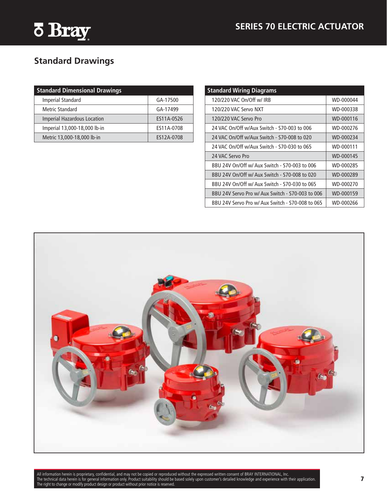<span id="page-6-0"></span>

# **Standard Drawings**

| <b>Standard Dimensional Drawings</b> |            |
|--------------------------------------|------------|
| Imperial Standard                    | GA-17500   |
| Metric Standard                      | GA-17499   |
| <b>Imperial Hazardous Location</b>   | ES11A-0526 |
| Imperial 13,000-18,000 lb-in         | ES11A-0708 |
| Metric 13,000-18,000 lb-in           | ES12A-0708 |

| <b>Standard Wiring Diagrams</b>                  |           |
|--------------------------------------------------|-----------|
| 120/220 VAC On/Off w/ IRB                        | WD-000044 |
| 120/220 VAC Servo NXT                            | WD-000338 |
| 120/220 VAC Servo Pro                            | WD-000116 |
| 24 VAC On/Off w/Aux Switch - 570-003 to 006      | WD-000276 |
| 24 VAC On/Off w/Aux Switch - S70-008 to 020      | WD-000234 |
| 24 VAC On/Off w/Aux Switch - S70-030 to 065      | WD-000111 |
| 24 VAC Servo Pro                                 | WD-000145 |
| BBU 24V On/Off w/ Aux Switch - 570-003 to 006    | WD-000285 |
| BBU 24V On/Off w/ Aux Switch - 570-008 to 020    | WD-000289 |
| BBU 24V On/Off w/ Aux Switch - S70-030 to 065    | WD-000270 |
| BBU 24V Servo Pro w/ Aux Switch - S70-003 to 006 | WD-000159 |
| BBU 24V Servo Pro w/ Aux Switch - S70-008 to 065 | WD-000266 |



All information herein is proprietary, confidential, and may not be copied or reproduced without the expressed written consent of BRAY INTERNATIONAL, Inc. The technical data herein is for general information only. Product suitability should be based solely upon customer's detailed knowledge and experience with their application. The right to change or modify product design or product without prior notice is reserved.